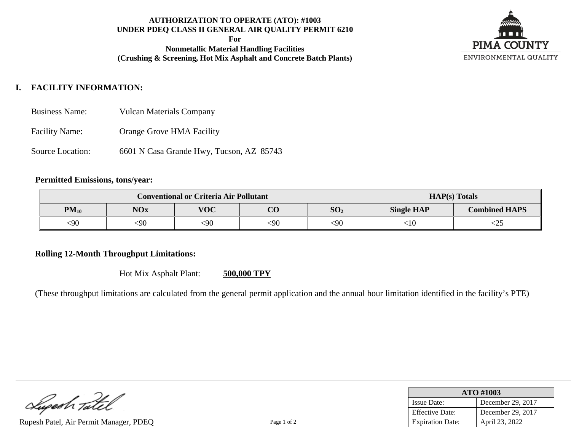## **AUTHORIZATION TO OPERATE (ATO): #1003 UNDER PDEQ CLASS II GENERAL AIR QUALITY PERMIT 6210**

**For**

**Nonmetallic Material Handling Facilities (Crushing & Screening, Hot Mix Asphalt and Concrete Batch Plants)**



# **I. FACILITY INFORMATION:**

- Business Name: Vulcan Materials Company
- Facility Name: Orange Grove HMA Facility
- Source Location: 6601 N Casa Grande Hwy, Tucson, AZ 85743

## **Permitted Emissions, tons/year:**

| <b>Conventional or Criteria Air Pollutant</b> |            |            |          | $HAP(s)$ Totals |                   |                      |
|-----------------------------------------------|------------|------------|----------|-----------------|-------------------|----------------------|
| $PM_{10}$                                     | <b>NOx</b> | <b>VOC</b> | $\Omega$ | SO <sub>2</sub> | <b>Single HAP</b> | <b>Combined HAPS</b> |
| <90                                           | <90        | <90        | <90      | <90             | ∶10               | ∼∠J                  |

# **Rolling 12-Month Throughput Limitations:**

Hot Mix Asphalt Plant: **500,000 TPY**

(These throughput limitations are calculated from the general permit application and the annual hour limitation identified in the facility's PTE)

Superh Tatel

Rupesh Patel, Air Permit Manager, PDEO Page 1 of 2

| ATO #1003               |                   |  |  |
|-------------------------|-------------------|--|--|
| <b>Issue Date:</b>      | December 29, 2017 |  |  |
| <b>Effective Date:</b>  | December 29, 2017 |  |  |
| <b>Expiration Date:</b> | April 23, 2022    |  |  |